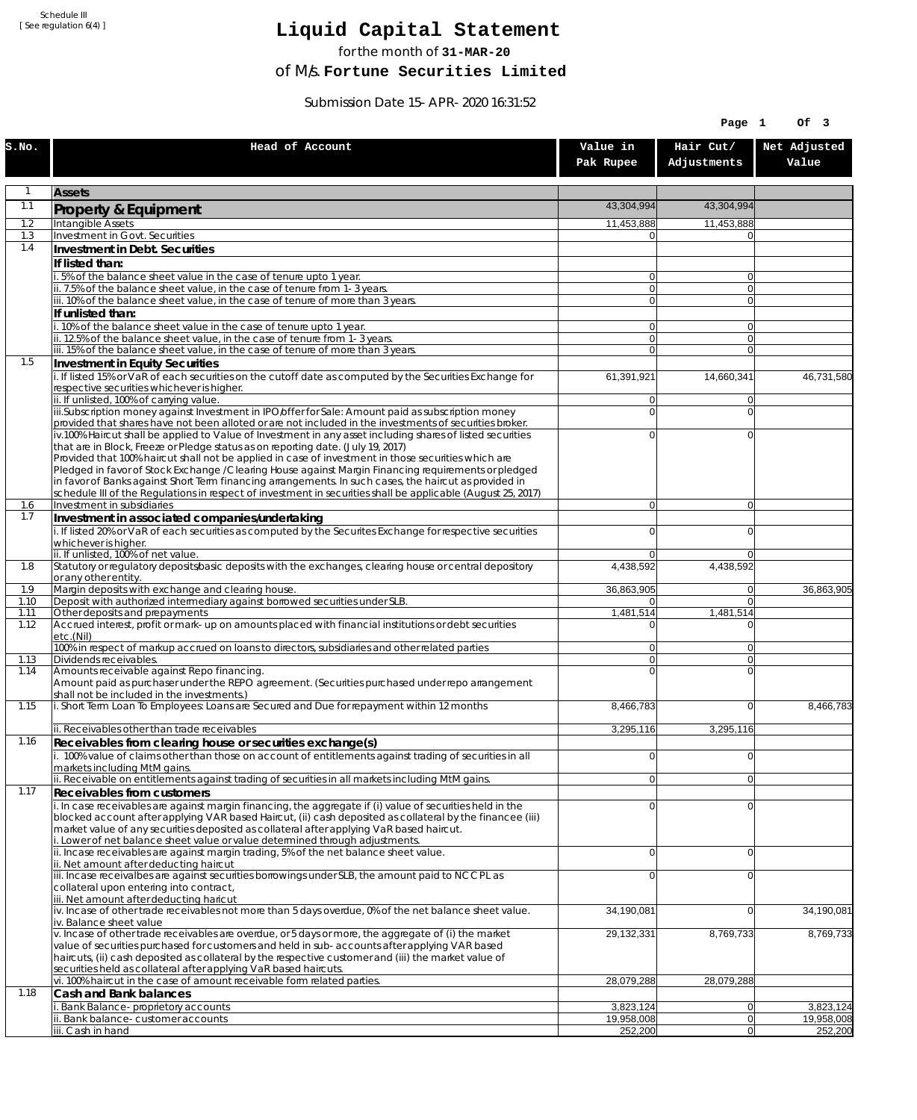Schedule III [ See regulation 6(4) ]

## **Liquid Capital Statement**

for the month of **31-MAR-20**

of M/s. **Fortune Securities Limited**

Submission Date 15-APR-2020 16:31:52

|              |                                                                                                                                                                                                                        |                                  | Page 1                     | Of 3                    |
|--------------|------------------------------------------------------------------------------------------------------------------------------------------------------------------------------------------------------------------------|----------------------------------|----------------------------|-------------------------|
| S.NO.        | Head of Account                                                                                                                                                                                                        | Value in<br>Pak Rupee            | Hair Cut/<br>Adjustments   | Net Adjusted<br>Value   |
| $\mathbf{1}$ | <b>Assets</b>                                                                                                                                                                                                          |                                  |                            |                         |
| 1.1          | Property & Equipment                                                                                                                                                                                                   | 43,304,994                       | 43,304,994                 |                         |
| 1.2          | Intangible Assets                                                                                                                                                                                                      | 11,453,888                       | 11,453,888                 |                         |
| 1.3<br>1.4   | Investment in Govt. Securities<br>Investment in Debt. Securities                                                                                                                                                       | $\Omega$                         | 0                          |                         |
|              | If listed than:                                                                                                                                                                                                        |                                  |                            |                         |
|              | i. 5% of the balance sheet value in the case of tenure upto 1 year.                                                                                                                                                    | $\Omega$                         | $\overline{0}$             |                         |
|              | ii. 7.5% of the balance sheet value, in the case of tenure from 1-3 years.                                                                                                                                             | $\overline{0}$                   | $\overline{0}$             |                         |
|              | iii. 10% of the balance sheet value, in the case of tenure of more than 3 years.<br>If unlisted than:                                                                                                                  | $\Omega$                         | $\Omega$                   |                         |
|              | i. 10% of the balance sheet value in the case of tenure upto 1 year.                                                                                                                                                   | $\Omega$                         | 0                          |                         |
|              | ii. 12.5% of the balance sheet value, in the case of tenure from 1-3 years.                                                                                                                                            | $\overline{0}$                   | $\overline{0}$             |                         |
| 1.5          | iii. 15% of the balance sheet value, in the case of tenure of more than 3 years.<br>Investment in Equity Securities                                                                                                    | $\overline{0}$                   | $\Omega$                   |                         |
|              | i. If listed 15% or VaR of each securities on the cutoff date as computed by the Securities Exchange for                                                                                                               | 61,391,921                       | 14,660,341                 | 46,731,580              |
|              | respective securities whichever is higher.                                                                                                                                                                             |                                  |                            |                         |
|              | ii. If unlisted, 100% of carrying value.<br>iii.Subscription money against Investment in IPO/offer for Sale: Amount paid as subscription money                                                                         | $\overline{0}$<br>$\Omega$       | $\overline{0}$<br>$\Omega$ |                         |
|              | provided that shares have not been alloted or are not included in the investments of securities broker.                                                                                                                |                                  |                            |                         |
|              | iv.100% Haircut shall be applied to Value of Investment in any asset including shares of listed securities                                                                                                             | $\Omega$                         | $\Omega$                   |                         |
|              | that are in Block, Freeze or Pledge status as on reporting date. (July 19, 2017)<br>Provided that 100% haircut shall not be applied in case of investment in those securities which are                                |                                  |                            |                         |
|              | Pledged in favor of Stock Exchange / Clearing House against Margin Financing requirements or pledged                                                                                                                   |                                  |                            |                         |
|              | in favor of Banks against Short Term financing arrangements. In such cases, the haircut as provided in<br>schedule III of the Regulations in respect of investment in securities shall be applicable (August 25, 2017) |                                  |                            |                         |
| 1.6          | Investment in subsidiaries                                                                                                                                                                                             | $\Omega$                         | $\overline{0}$             |                         |
| 1.7          | Investment in associated companies/undertaking                                                                                                                                                                         |                                  |                            |                         |
|              | i. If listed 20% or VaR of each securities as computed by the Securites Exchange for respective securities                                                                                                             | $\Omega$                         | 0                          |                         |
|              | whichever is higher.<br>ii. If unlisted, 100% of net value.                                                                                                                                                            | $\Omega$                         | $\Omega$                   |                         |
| 1.8          | Statutory or regulatory deposits/basic deposits with the exchanges, clearing house or central depository                                                                                                               | 4,438,592                        | 4,438,592                  |                         |
| 1.9          | or any other entity.<br>Margin deposits with exchange and clearing house.                                                                                                                                              | 36,863,905                       | $\overline{0}$             | 36,863,905              |
| 1.10         | Deposit with authorized intermediary against borrowed securities under SLB.                                                                                                                                            | 0                                | $\overline{0}$             |                         |
| 1.11<br>1.12 | Other deposits and prepayments<br>Accrued interest, profit or mark-up on amounts placed with financial institutions or debt securities                                                                                 | 1,481,514<br>0                   | 1,481,514<br>0             |                         |
|              | etc.(Nil)                                                                                                                                                                                                              |                                  |                            |                         |
|              | 100% in respect of markup accrued on loans to directors, subsidiaries and other related parties<br>Dividends receivables.                                                                                              | $\overline{0}$<br>$\overline{0}$ | 0<br>$\overline{0}$        |                         |
| 1.13<br>1.14 | Amounts receivable against Repo financing.                                                                                                                                                                             | $\Omega$                         | $\overline{0}$             |                         |
|              | Amount paid as purchaser under the REPO agreement. (Securities purchased under repo arrangement                                                                                                                        |                                  |                            |                         |
| 1.15         | shall not be included in the investments.)<br>i. Short Term Loan To Employees: Loans are Secured and Due for repayment within 12 months                                                                                | 8,466,783                        | $\Omega$                   | 8,466,783               |
|              |                                                                                                                                                                                                                        |                                  |                            |                         |
|              | ii. Receivables other than trade receivables                                                                                                                                                                           | 3,295,116                        | 3,295,116                  |                         |
| 1.16         | Receivables from clearing house or securities exchange(s)<br>i. 100% value of claims other than those on account of entitlements against trading of securities in all                                                  | $\Omega$                         | 0                          |                         |
|              | markets including MtM gains.                                                                                                                                                                                           |                                  |                            |                         |
|              | ii. Receivable on entitlements against trading of securities in all markets including MtM gains.                                                                                                                       | $\overline{0}$                   | $\overline{0}$             |                         |
| 1.17         | <b>Receivables from customers</b><br>i. In case receivables are against margin financing, the aggregate if (i) value of securities held in the                                                                         | $\Omega$                         | $\Omega$                   |                         |
|              | blocked account after applying VAR based Haircut, (ii) cash deposited as collateral by the financee (iii)                                                                                                              |                                  |                            |                         |
|              | market value of any securities deposited as collateral after applying VaR based haircut.                                                                                                                               |                                  |                            |                         |
|              | i. Lower of net balance sheet value or value determined through adjustments.<br>ii. Incase receivables are against margin trading, 5% of the net balance sheet value.                                                  | $\Omega$                         | $\overline{0}$             |                         |
|              | ii. Net amount after deducting haircut                                                                                                                                                                                 |                                  |                            |                         |
|              | iii. Incase receivalbes are against securities borrowings under SLB, the amount paid to NCCPL as<br>collateral upon entering into contract,                                                                            | $\Omega$                         | 0                          |                         |
|              | iii. Net amount after deducting haricut                                                                                                                                                                                |                                  |                            |                         |
|              | $\overline{v}$ . Incase of other trade receivables not more than 5 days overdue, 0% of the net balance sheet value.                                                                                                    | 34,190,081                       | $\overline{0}$             | 34,190,081              |
|              | iv. Balance sheet value<br>v. Incase of other trade receivables are overdue, or 5 days or more, the aggregate of (i) the market                                                                                        | 29,132,331                       | 8,769,733                  | 8,769,733               |
|              | value of securities purchased for customers and held in sub-accounts after applying VAR based                                                                                                                          |                                  |                            |                         |
|              | haircuts, (ii) cash deposited as collateral by the respective customer and (iii) the market value of<br>securities held as collateral after applying VaR based haircuts.                                               |                                  |                            |                         |
|              | vi. 100% haircut in the case of amount receivable form related parties                                                                                                                                                 | 28,079,288                       | 28,079,288                 |                         |
| 1.18         | Cash and Bank balances                                                                                                                                                                                                 |                                  |                            |                         |
|              | i. Bank Balance-proprietory accounts<br>ii. Bank balance-customer accounts                                                                                                                                             | 3,823,124<br>19,958,008          | 0 <br>$\overline{0}$       | 3,823,124<br>19,958,008 |
|              | iii. Cash in hand                                                                                                                                                                                                      | 252,200                          | 0                          | 252,200                 |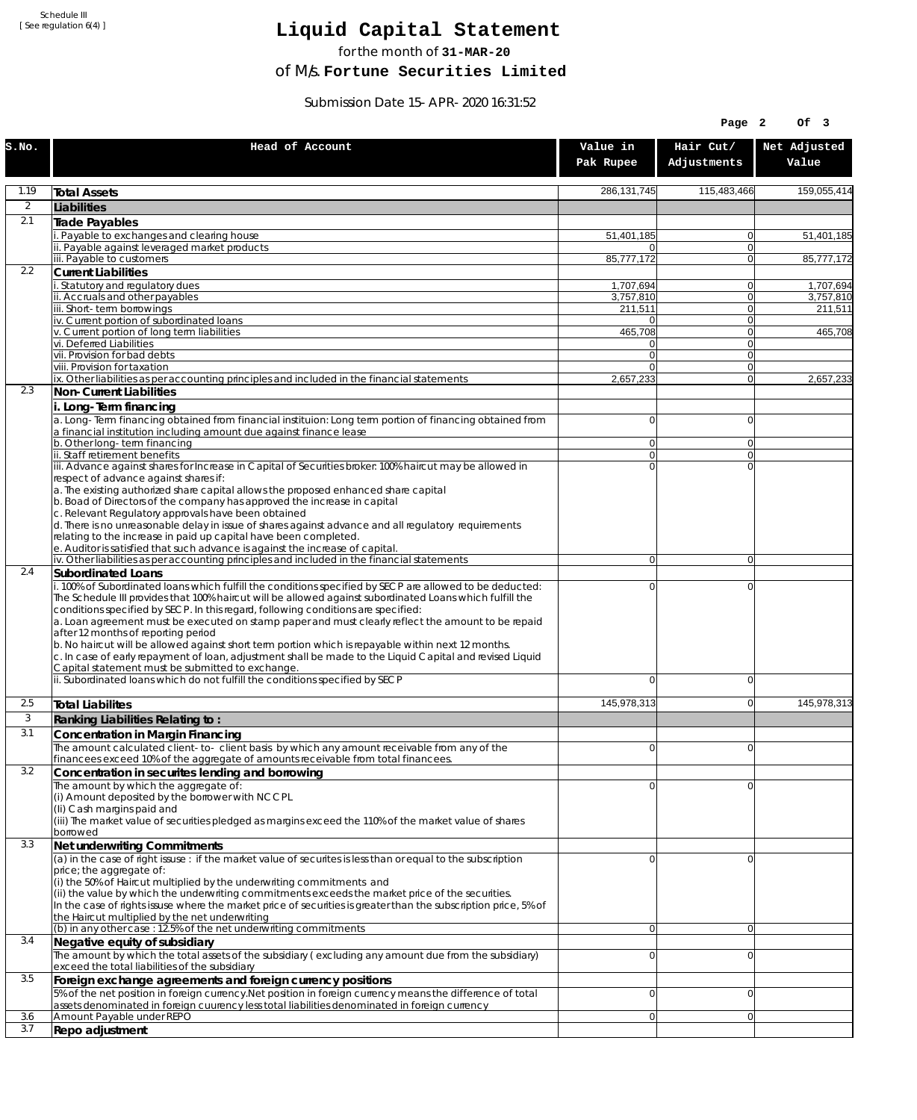Schedule III [ See regulation 6(4) ]

## **Liquid Capital Statement**

for the month of **31-MAR-20**

of M/s. **Fortune Securities Limited**

Submission Date 15-APR-2020 16:31:52

|            |                                                                                                                                                                                                                                                                                                                                                                                                                                                                                                                                                                                                                                                                                                                             |                            | Page 2                   | Of 3                   |
|------------|-----------------------------------------------------------------------------------------------------------------------------------------------------------------------------------------------------------------------------------------------------------------------------------------------------------------------------------------------------------------------------------------------------------------------------------------------------------------------------------------------------------------------------------------------------------------------------------------------------------------------------------------------------------------------------------------------------------------------------|----------------------------|--------------------------|------------------------|
| S.NO.      | Head of Account                                                                                                                                                                                                                                                                                                                                                                                                                                                                                                                                                                                                                                                                                                             | Value in<br>Pak Rupee      | Hair Cut/<br>Adjustments | Net Adjusted<br>Value  |
| 1.19       | <b>Total Assets</b>                                                                                                                                                                                                                                                                                                                                                                                                                                                                                                                                                                                                                                                                                                         | 286, 131, 745              | 115,483,466              | 159,055,414            |
| 2          | Liabilities                                                                                                                                                                                                                                                                                                                                                                                                                                                                                                                                                                                                                                                                                                                 |                            |                          |                        |
| 2.1        | <b>Trade Payables</b>                                                                                                                                                                                                                                                                                                                                                                                                                                                                                                                                                                                                                                                                                                       |                            |                          |                        |
|            | Payable to exchanges and clearing house<br>ii. Payable against leveraged market products                                                                                                                                                                                                                                                                                                                                                                                                                                                                                                                                                                                                                                    | 51,401,185<br>0            | $\Omega$<br>$\Omega$     | 51,401,185             |
|            | iii. Payable to customers                                                                                                                                                                                                                                                                                                                                                                                                                                                                                                                                                                                                                                                                                                   | 85,777,172                 | $\Omega$                 | 85,777,172             |
| 2.2        | <b>Current Liabilities</b>                                                                                                                                                                                                                                                                                                                                                                                                                                                                                                                                                                                                                                                                                                  |                            |                          |                        |
|            | Statutory and regulatory dues<br>ii. Accruals and other payables                                                                                                                                                                                                                                                                                                                                                                                                                                                                                                                                                                                                                                                            | 1,707,694<br>3.757.810     | 0 <br>$\Omega$           | 1,707,694<br>3.757.810 |
|            | iii. Short-term borrowings                                                                                                                                                                                                                                                                                                                                                                                                                                                                                                                                                                                                                                                                                                  | 211,511                    | $\Omega$                 | 211,511                |
|            | iv. Current portion of subordinated loans                                                                                                                                                                                                                                                                                                                                                                                                                                                                                                                                                                                                                                                                                   | 0                          | $\Omega$                 |                        |
|            | v. Current portion of long term liabilities<br>vi. Deferred Liabilities                                                                                                                                                                                                                                                                                                                                                                                                                                                                                                                                                                                                                                                     | 465,708<br>0               | $\Omega$<br> 0           | 465,708                |
|            | vii. Provision for bad debts                                                                                                                                                                                                                                                                                                                                                                                                                                                                                                                                                                                                                                                                                                | $\Omega$                   | $\mathbf 0$              |                        |
|            | viii. Provision for taxation<br>ix. Other liabilities as per accounting principles and included in the financial statements                                                                                                                                                                                                                                                                                                                                                                                                                                                                                                                                                                                                 | $\Omega$<br>2,657,233      | $\Omega$<br>$\Omega$     | 2,657,233              |
| 2.3        | Non-Current Liabilities                                                                                                                                                                                                                                                                                                                                                                                                                                                                                                                                                                                                                                                                                                     |                            |                          |                        |
|            | i. Long-Term financing                                                                                                                                                                                                                                                                                                                                                                                                                                                                                                                                                                                                                                                                                                      |                            |                          |                        |
|            | a. Long-Term financing obtained from financial instituion: Long term portion of financing obtained from<br>a financial institution including amount due against finance lease                                                                                                                                                                                                                                                                                                                                                                                                                                                                                                                                               | 0                          | $\Omega$                 |                        |
|            | b. Other long-term financing                                                                                                                                                                                                                                                                                                                                                                                                                                                                                                                                                                                                                                                                                                | $\overline{0}$             | $\Omega$                 |                        |
|            | ii. Staff retirement benefits                                                                                                                                                                                                                                                                                                                                                                                                                                                                                                                                                                                                                                                                                               | $\overline{0}$<br>$\Omega$ | $\Omega$                 |                        |
|            | iii. Advance against shares for Increase in Capital of Securities broker: 100% haircut may be allowed in<br>respect of advance against shares if:                                                                                                                                                                                                                                                                                                                                                                                                                                                                                                                                                                           |                            | $\Omega$                 |                        |
|            | a. The existing authorized share capital allows the proposed enhanced share capital                                                                                                                                                                                                                                                                                                                                                                                                                                                                                                                                                                                                                                         |                            |                          |                        |
|            | b. Boad of Directors of the company has approved the increase in capital<br>c. Relevant Regulatory approvals have been obtained                                                                                                                                                                                                                                                                                                                                                                                                                                                                                                                                                                                             |                            |                          |                        |
|            | d. There is no unreasonable delay in issue of shares against advance and all regulatory requirements                                                                                                                                                                                                                                                                                                                                                                                                                                                                                                                                                                                                                        |                            |                          |                        |
|            | relating to the increase in paid up capital have been completed.                                                                                                                                                                                                                                                                                                                                                                                                                                                                                                                                                                                                                                                            |                            |                          |                        |
|            | e. Auditor is satisfied that such advance is against the increase of capital.<br>iv. Other liabilities as per accounting principles and included in the financial statements                                                                                                                                                                                                                                                                                                                                                                                                                                                                                                                                                | $\overline{0}$             | $\Omega$                 |                        |
| 2.4        | Subordinated Loans                                                                                                                                                                                                                                                                                                                                                                                                                                                                                                                                                                                                                                                                                                          |                            |                          |                        |
|            | . 100% of Subordinated loans which fulfill the conditions specified by SECP are allowed to be deducted:<br>The Schedule III provides that 100% haircut will be allowed against subordinated Loans which fulfill the<br>conditions specified by SECP. In this regard, following conditions are specified:<br>a. Loan agreement must be executed on stamp paper and must clearly reflect the amount to be repaid<br>after 12 months of reporting period<br>b. No haircut will be allowed against short term portion which is repayable within next 12 months.<br>c. In case of early repayment of loan, adjustment shall be made to the Liquid Capital and revised Liquid<br>Capital statement must be submitted to exchange. | 0                          | $\mathbf 0$              |                        |
|            | ii. Subordinated loans which do not fulfill the conditions specified by SECP                                                                                                                                                                                                                                                                                                                                                                                                                                                                                                                                                                                                                                                | $\Omega$                   | $\Omega$                 |                        |
| 2.5        | <b>Total Liabilites</b>                                                                                                                                                                                                                                                                                                                                                                                                                                                                                                                                                                                                                                                                                                     | 145,978,313                | $\Omega$                 | 145,978,313            |
| 3          | Ranking Liabilities Relating to:                                                                                                                                                                                                                                                                                                                                                                                                                                                                                                                                                                                                                                                                                            |                            |                          |                        |
| 3.1        | Concentration in Margin Financing                                                                                                                                                                                                                                                                                                                                                                                                                                                                                                                                                                                                                                                                                           |                            |                          |                        |
|            | The amount calculated client-to-client basis by which any amount receivable from any of the<br>financees exceed 10% of the aggregate of amounts receivable from total financees.                                                                                                                                                                                                                                                                                                                                                                                                                                                                                                                                            | $\Omega$                   | $\Omega$                 |                        |
| 3.2        | Concentration in securites lending and borrowing                                                                                                                                                                                                                                                                                                                                                                                                                                                                                                                                                                                                                                                                            |                            |                          |                        |
|            | The amount by which the aggregate of:                                                                                                                                                                                                                                                                                                                                                                                                                                                                                                                                                                                                                                                                                       | U                          | $\Omega$                 |                        |
|            | (i) Amount deposited by the borrower with NCCPL<br>(Ii) Cash margins paid and                                                                                                                                                                                                                                                                                                                                                                                                                                                                                                                                                                                                                                               |                            |                          |                        |
|            | (iii) The market value of securities pledged as margins exceed the 110% of the market value of shares                                                                                                                                                                                                                                                                                                                                                                                                                                                                                                                                                                                                                       |                            |                          |                        |
|            | borrowed                                                                                                                                                                                                                                                                                                                                                                                                                                                                                                                                                                                                                                                                                                                    |                            |                          |                        |
| 3.3        | Net underwriting Commitments<br>(a) in the case of right issuse : if the market value of securites is less than or equal to the subscription                                                                                                                                                                                                                                                                                                                                                                                                                                                                                                                                                                                | 0                          | $\Omega$                 |                        |
|            | price; the aggregate of:                                                                                                                                                                                                                                                                                                                                                                                                                                                                                                                                                                                                                                                                                                    |                            |                          |                        |
|            | (i) the 50% of Haircut multiplied by the underwriting commitments and<br>(ii) the value by which the underwriting commitments exceeds the market price of the securities.<br>In the case of rights issuse where the market price of securities is greater than the subscription price, 5% of                                                                                                                                                                                                                                                                                                                                                                                                                                |                            |                          |                        |
|            | the Haircut multiplied by the net underwriting                                                                                                                                                                                                                                                                                                                                                                                                                                                                                                                                                                                                                                                                              |                            |                          |                        |
| 3.4        | (b) in any other case: 12.5% of the net underwriting commitments<br>Negative equity of subsidiary                                                                                                                                                                                                                                                                                                                                                                                                                                                                                                                                                                                                                           | $\overline{0}$             | $\Omega$                 |                        |
|            | The amount by which the total assets of the subsidiary (excluding any amount due from the subsidiary)                                                                                                                                                                                                                                                                                                                                                                                                                                                                                                                                                                                                                       | 0                          | $\Omega$                 |                        |
| 3.5        | exceed the total liabilities of the subsidiary<br>Foreign exchange agreements and foreign currency positions                                                                                                                                                                                                                                                                                                                                                                                                                                                                                                                                                                                                                |                            |                          |                        |
|            | 5% of the net position in foreign currency. Net position in foreign currency means the difference of total                                                                                                                                                                                                                                                                                                                                                                                                                                                                                                                                                                                                                  | 0                          | $\Omega$                 |                        |
|            | assets denominated in foreign cuurency less total liabilities denominated in foreign currency                                                                                                                                                                                                                                                                                                                                                                                                                                                                                                                                                                                                                               |                            |                          |                        |
| 3.6<br>3.7 | Amount Payable under REPO<br>Repo adjustment                                                                                                                                                                                                                                                                                                                                                                                                                                                                                                                                                                                                                                                                                | $\overline{0}$             | $\Omega$                 |                        |
|            |                                                                                                                                                                                                                                                                                                                                                                                                                                                                                                                                                                                                                                                                                                                             |                            |                          |                        |